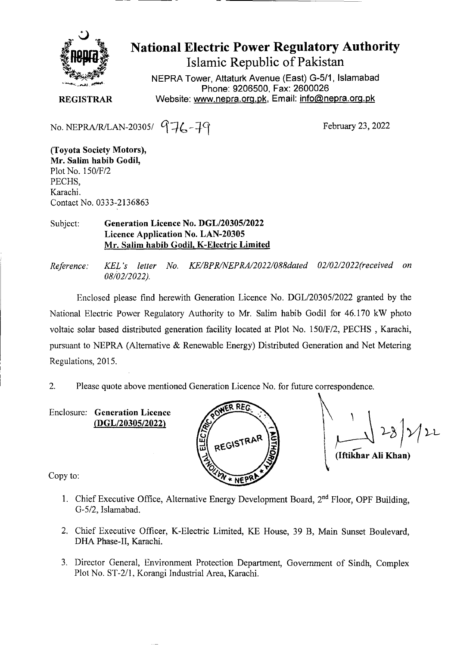

**National Electric Power Regulatory Authority Islamic Republic of Pakistan** 

NEPRA Tower, Attaturk Avenue (East) G-511, Islamabad Phone: 9206500, Fax: 2600026 **REGISTRAR** Website: www.nepra.org.pk, Email: info@nepra.org.pk

No. NEPRA/R/LAN-20305/ $976 - 79$ 

February 23, 2022

**(Toyota Society Motors),**  *Mr.* **Salim habib Godil,**  Plot No. *1501F12*  PECHS, Karachi. Contact No. 0333-2 136863

Subject: **Generation Licence No.** *DGL12030512022*  **Licence Application No. LAN-20305 Mr. Salim habib Godil, K-Electric Limited** 

*Reference: KEL 's letter No. KE/BPR/NEPRA/2022/088dated 02/02/2022(received on 08/02/2 022).* 

Enclosed please find herewith Generation Licence No. DGL/20305/2022 granted by the National Electric Power Regulatory Authority to Mr. Salim habib Godil for 46.170 kW photo voltaic solar based distributed generation facility located at Plot No. 1 *501F12,* PECHS , Karachi, pursuant to NEPRA (Alternative & Renewable Energy) Distributed Generation and Net Metering Regulations, 2015.

2. Please quote above mentioned Generation Licence No. for future correspondence.

Enclosure: **Generation Licence**  *(DGL120305/2022)* 



**(Iftikhar Ali Khan)** 

Copy to:

- 1. Chief Executive Office, Alternative Energy Development Board, 2<sup>nd</sup> Floor, OPF Building, G-5/2, Islamabad.
- 2. Chief Executive Officer, K-Electric Limited, KE House, 39 B, Main Sunset Boulevard, DHA Phase-II, Karachi.
- 3. Director General, Environment Protection Department, Government of Sindh, Complex Plot No. ST-2/l, Korangi Industrial Area, Karachi.